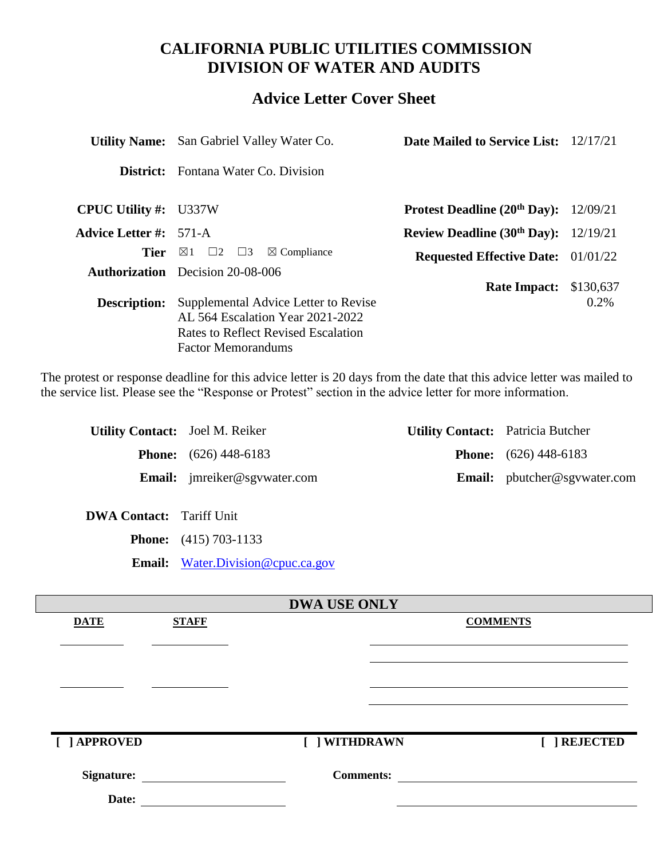# **CALIFORNIA PUBLIC UTILITIES COMMISSION DIVISION OF WATER AND AUDITS**

# **Advice Letter Cover Sheet**

|                               | <b>Utility Name:</b> San Gabriel Valley Water Co.                                                                                            | <b>Date Mailed to Service List:</b> 12/17/21 |           |
|-------------------------------|----------------------------------------------------------------------------------------------------------------------------------------------|----------------------------------------------|-----------|
| District:                     | Fontana Water Co. Division                                                                                                                   |                                              |           |
| <b>CPUC Utility #:</b> U337W  |                                                                                                                                              | <b>Protest Deadline (20th Day):</b>          | 12/09/21  |
| <b>Advice Letter #:</b> 571-A |                                                                                                                                              | Review Deadline $(30th Day)$ : 12/19/21      |           |
| Tier                          | $\boxtimes$ 1 $\Box$ 2 $\Box$ 3<br>$\boxtimes$ Compliance                                                                                    | <b>Requested Effective Date:</b> 01/01/22    |           |
|                               | <b>Authorization</b> Decision 20-08-006                                                                                                      |                                              | \$130,637 |
| <b>Description:</b>           | Supplemental Advice Letter to Revise<br>AL 564 Escalation Year 2021-2022<br>Rates to Reflect Revised Escalation<br><b>Factor Memorandums</b> | <b>Rate Impact:</b>                          | $0.2\%$   |

The protest or response deadline for this advice letter is 20 days from the date that this advice letter was mailed to the service list. Please see the "Response or Protest" section in the advice letter for more information.

| <b>Utility Contact:</b> Joel M. Reiker |                                     | <b>Utility Contact:</b> Patricia Butcher |                                     |
|----------------------------------------|-------------------------------------|------------------------------------------|-------------------------------------|
|                                        | <b>Phone:</b> $(626)$ 448-6183      |                                          | <b>Phone:</b> $(626)$ 448-6183      |
|                                        | <b>Email:</b> jmreiker@sgvwater.com |                                          | <b>Email:</b> pbutcher@sgvwater.com |

**DWA Contact:** Tariff Unit

**Phone:** (415) 703-1133

**Email:** [Water.Division@cpuc.ca.gov](mailto:Water.Division@cpuc.ca.gov)

|                   |              | <b>DWA USE ONLY</b> |                 |
|-------------------|--------------|---------------------|-----------------|
| <b>DATE</b>       | <b>STAFF</b> |                     | <b>COMMENTS</b> |
|                   |              |                     |                 |
|                   |              |                     |                 |
|                   |              |                     |                 |
|                   |              |                     |                 |
|                   |              |                     |                 |
|                   |              |                     |                 |
| [ ] APPROVED      |              | [ ] WITHDRAWN       | <b>REJECTED</b> |
|                   |              |                     |                 |
| <b>Signature:</b> |              | <b>Comments:</b>    |                 |
| Date:             |              |                     |                 |
|                   |              |                     |                 |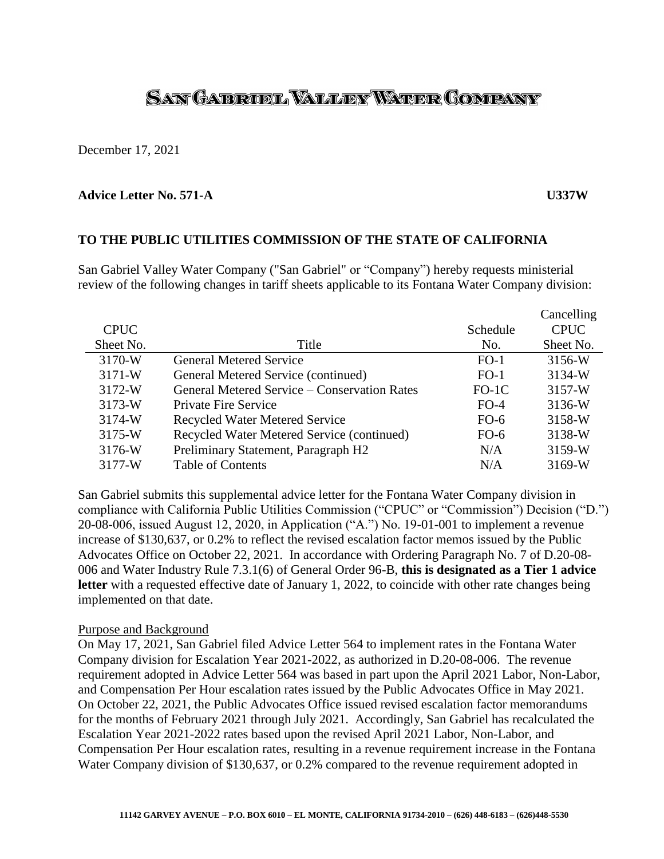# SAN GAERUEL VALLEY WATER COMPANY

December 17, 2021

#### **Advice Letter No. 571-A U337W**

# **TO THE PUBLIC UTILITIES COMMISSION OF THE STATE OF CALIFORNIA**

San Gabriel Valley Water Company ("San Gabriel" or "Company") hereby requests ministerial review of the following changes in tariff sheets applicable to its Fontana Water Company division:

|             |                                              |          | Cancelling  |
|-------------|----------------------------------------------|----------|-------------|
| <b>CPUC</b> |                                              | Schedule | <b>CPUC</b> |
| Sheet No.   | Title                                        | No.      | Sheet No.   |
| 3170-W      | <b>General Metered Service</b>               | $FO-1$   | 3156-W      |
| $3171-W$    | General Metered Service (continued)          | $FO-1$   | 3134-W      |
| 3172-W      | General Metered Service – Conservation Rates | $FO-1C$  | 3157-W      |
| $3173-W$    | Private Fire Service                         | $FO-4$   | 3136-W      |
| 3174-W      | <b>Recycled Water Metered Service</b>        | $FO-6$   | 3158-W      |
| 3175-W      | Recycled Water Metered Service (continued)   | $FO-6$   | 3138-W      |
| 3176-W      | Preliminary Statement, Paragraph H2          | N/A      | 3159-W      |
| 3177-W      | <b>Table of Contents</b>                     | N/A      | 3169-W      |

San Gabriel submits this supplemental advice letter for the Fontana Water Company division in compliance with California Public Utilities Commission ("CPUC" or "Commission") Decision ("D.") 20-08-006, issued August 12, 2020, in Application ("A.") No. 19-01-001 to implement a revenue increase of \$130,637, or 0.2% to reflect the revised escalation factor memos issued by the Public Advocates Office on October 22, 2021. In accordance with Ordering Paragraph No. 7 of D.20-08- 006 and Water Industry Rule 7.3.1(6) of General Order 96-B, **this is designated as a Tier 1 advice letter** with a requested effective date of January 1, 2022, to coincide with other rate changes being implemented on that date.

#### Purpose and Background

On May 17, 2021, San Gabriel filed Advice Letter 564 to implement rates in the Fontana Water Company division for Escalation Year 2021-2022, as authorized in D.20-08-006. The revenue requirement adopted in Advice Letter 564 was based in part upon the April 2021 Labor, Non-Labor, and Compensation Per Hour escalation rates issued by the Public Advocates Office in May 2021. On October 22, 2021, the Public Advocates Office issued revised escalation factor memorandums for the months of February 2021 through July 2021. Accordingly, San Gabriel has recalculated the Escalation Year 2021-2022 rates based upon the revised April 2021 Labor, Non-Labor, and Compensation Per Hour escalation rates, resulting in a revenue requirement increase in the Fontana Water Company division of \$130,637, or 0.2% compared to the revenue requirement adopted in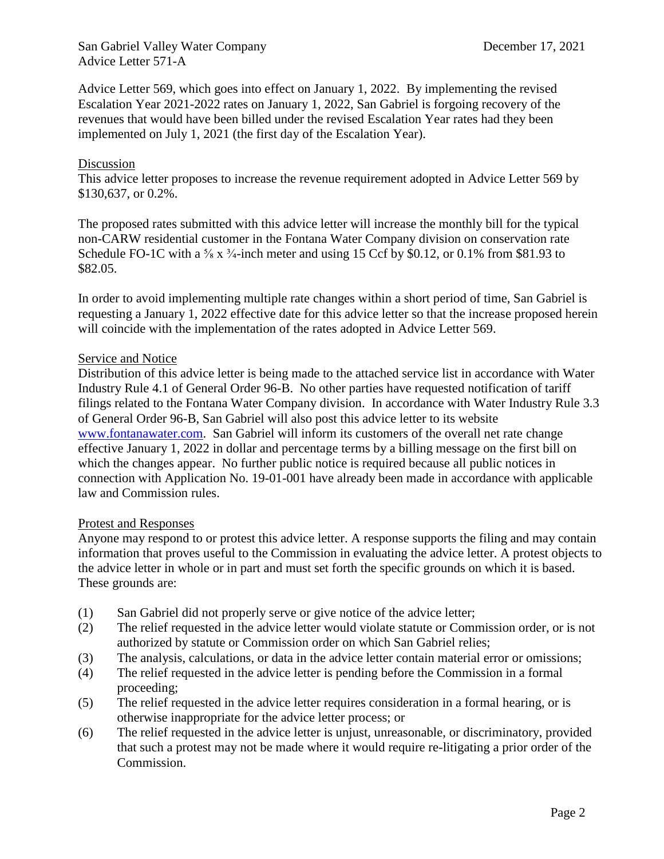San Gabriel Valley Water Company December 17, 2021 Advice Letter 571-A

Advice Letter 569, which goes into effect on January 1, 2022. By implementing the revised Escalation Year 2021-2022 rates on January 1, 2022, San Gabriel is forgoing recovery of the revenues that would have been billed under the revised Escalation Year rates had they been implemented on July 1, 2021 (the first day of the Escalation Year).

# Discussion

This advice letter proposes to increase the revenue requirement adopted in Advice Letter 569 by \$130,637, or 0.2%.

The proposed rates submitted with this advice letter will increase the monthly bill for the typical non-CARW residential customer in the Fontana Water Company division on conservation rate Schedule FO-1C with a  $\frac{5}{8}$  x  $\frac{3}{4}$ -inch meter and using 15 Ccf by \$0.12, or 0.1% from \$81.93 to \$82.05.

In order to avoid implementing multiple rate changes within a short period of time, San Gabriel is requesting a January 1, 2022 effective date for this advice letter so that the increase proposed herein will coincide with the implementation of the rates adopted in Advice Letter 569.

## Service and Notice

Distribution of this advice letter is being made to the attached service list in accordance with Water Industry Rule 4.1 of General Order 96-B. No other parties have requested notification of tariff filings related to the Fontana Water Company division. In accordance with Water Industry Rule 3.3 of General Order 96-B, San Gabriel will also post this advice letter to its website [www.fontanawater.com.](http://www.fontanawater.com/) San Gabriel will inform its customers of the overall net rate change effective January 1, 2022 in dollar and percentage terms by a billing message on the first bill on which the changes appear. No further public notice is required because all public notices in connection with Application No. 19-01-001 have already been made in accordance with applicable law and Commission rules.

#### Protest and Responses

Anyone may respond to or protest this advice letter. A response supports the filing and may contain information that proves useful to the Commission in evaluating the advice letter. A protest objects to the advice letter in whole or in part and must set forth the specific grounds on which it is based. These grounds are:

- (1) San Gabriel did not properly serve or give notice of the advice letter;
- (2) The relief requested in the advice letter would violate statute or Commission order, or is not authorized by statute or Commission order on which San Gabriel relies;
- (3) The analysis, calculations, or data in the advice letter contain material error or omissions;
- (4) The relief requested in the advice letter is pending before the Commission in a formal proceeding;
- (5) The relief requested in the advice letter requires consideration in a formal hearing, or is otherwise inappropriate for the advice letter process; or
- (6) The relief requested in the advice letter is unjust, unreasonable, or discriminatory, provided that such a protest may not be made where it would require re-litigating a prior order of the Commission.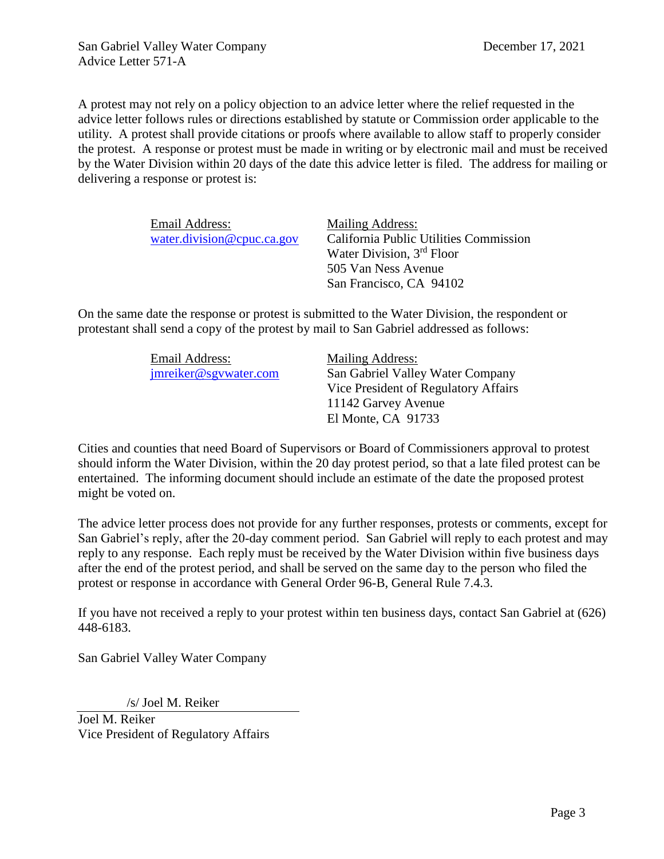A protest may not rely on a policy objection to an advice letter where the relief requested in the advice letter follows rules or directions established by statute or Commission order applicable to the utility. A protest shall provide citations or proofs where available to allow staff to properly consider the protest. A response or protest must be made in writing or by electronic mail and must be received by the Water Division within 20 days of the date this advice letter is filed. The address for mailing or delivering a response or protest is:

| Email Address:             | Mailing Address:                       |
|----------------------------|----------------------------------------|
| water.division@cpuc.ca.gov | California Public Utilities Commission |
|                            | Water Division, 3rd Floor              |
|                            | 505 Van Ness Avenue                    |
|                            | San Francisco, CA 94102                |

On the same date the response or protest is submitted to the Water Division, the respondent or protestant shall send a copy of the protest by mail to San Gabriel addressed as follows:

| Email Address:        | Mailing Address:                     |
|-----------------------|--------------------------------------|
| jmreiker@sgywater.com | San Gabriel Valley Water Company     |
|                       | Vice President of Regulatory Affairs |
|                       | 11142 Garvey Avenue                  |
|                       | El Monte, CA 91733                   |

Cities and counties that need Board of Supervisors or Board of Commissioners approval to protest should inform the Water Division, within the 20 day protest period, so that a late filed protest can be entertained. The informing document should include an estimate of the date the proposed protest might be voted on.

The advice letter process does not provide for any further responses, protests or comments, except for San Gabriel's reply, after the 20-day comment period. San Gabriel will reply to each protest and may reply to any response. Each reply must be received by the Water Division within five business days after the end of the protest period, and shall be served on the same day to the person who filed the protest or response in accordance with General Order 96-B, General Rule 7.4.3.

If you have not received a reply to your protest within ten business days, contact San Gabriel at (626) 448-6183.

San Gabriel Valley Water Company

/s/ Joel M. Reiker

Joel M. Reiker Vice President of Regulatory Affairs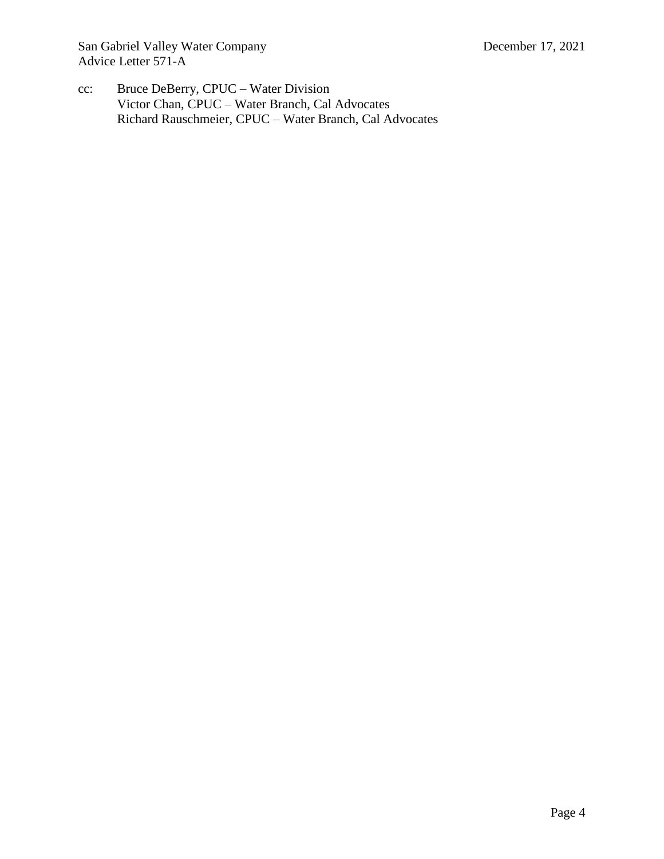San Gabriel Valley Water Company December 17, 2021 Advice Letter 571-A

cc: Bruce DeBerry, CPUC – Water Division Victor Chan, CPUC – Water Branch, Cal Advocates Richard Rauschmeier, CPUC – Water Branch, Cal Advocates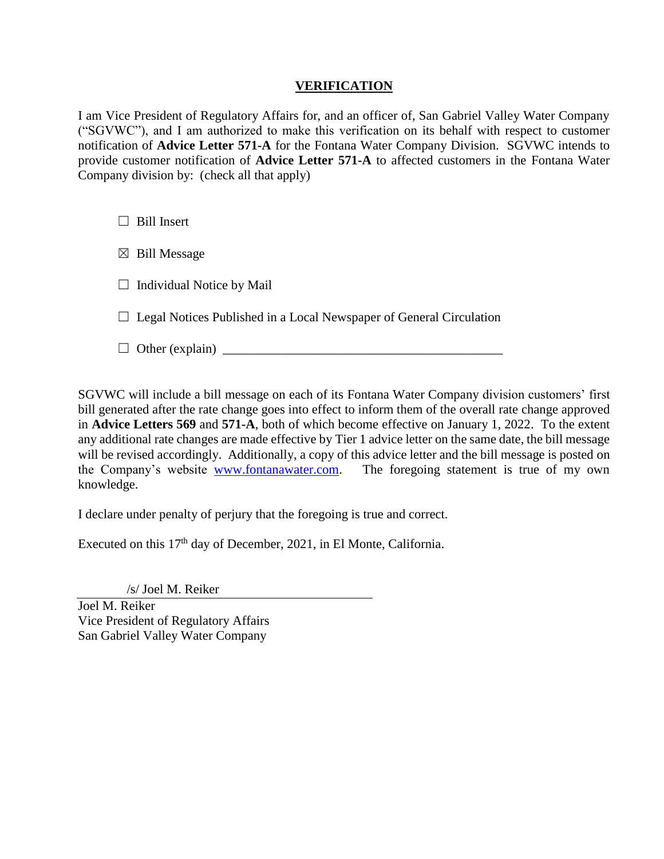# **VERIFICATION**

I am Vice President of Regulatory Affairs for, and an officer of, San Gabriel Valley Water Company ("SGVWC"), and I am authorized to make this verification on its behalf with respect to customer notification of **Advice Letter 571-A** for the Fontana Water Company Division. SGVWC intends to provide customer notification of **Advice Letter 571-A** to affected customers in the Fontana Water Company division by: (check all that apply)

 $\Box$  Bill Insert

 $\boxtimes$  Bill Message

 $\Box$  Individual Notice by Mail

 $\Box$  Legal Notices Published in a Local Newspaper of General Circulation

☐ Other (explain) \_\_\_\_\_\_\_\_\_\_\_\_\_\_\_\_\_\_\_\_\_\_\_\_\_\_\_\_\_\_\_\_\_\_\_\_\_\_\_\_\_\_\_

SGVWC will include a bill message on each of its Fontana Water Company division customers' first bill generated after the rate change goes into effect to inform them of the overall rate change approved in **Advice Letters 569** and **571-A**, both of which become effective on January 1, 2022. To the extent any additional rate changes are made effective by Tier 1 advice letter on the same date, the bill message will be revised accordingly. Additionally, a copy of this advice letter and the bill message is posted on the Company's website [www.fontanawater.com.](http://www.fontanawater.com/) The foregoing statement is true of my own knowledge.

I declare under penalty of perjury that the foregoing is true and correct.

Executed on this  $17<sup>th</sup>$  day of December, 2021, in El Monte, California.

/s/ Joel M. Reiker

Joel M. Reiker Vice President of Regulatory Affairs San Gabriel Valley Water Company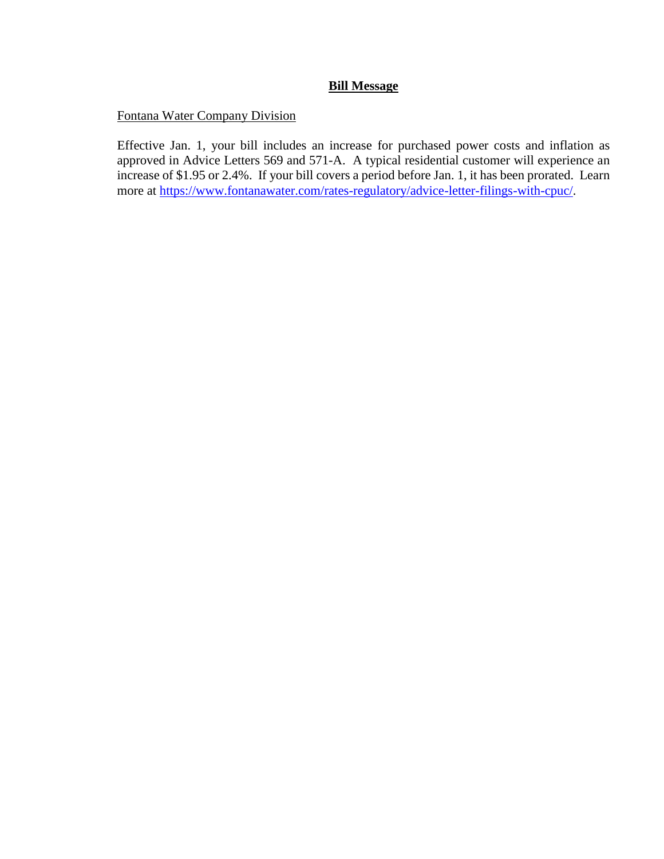# **Bill Message**

# Fontana Water Company Division

Effective Jan. 1, your bill includes an increase for purchased power costs and inflation as approved in Advice Letters 569 and 571-A. A typical residential customer will experience an increase of \$1.95 or 2.4%. If your bill covers a period before Jan. 1, it has been prorated. Learn more at [https://www.fontanawater.com/rates-regulatory/advice-letter-filings-with-cpuc/.](https://www.fontanawater.com/rates-regulatory/advice-letter-filings-with-cpuc/)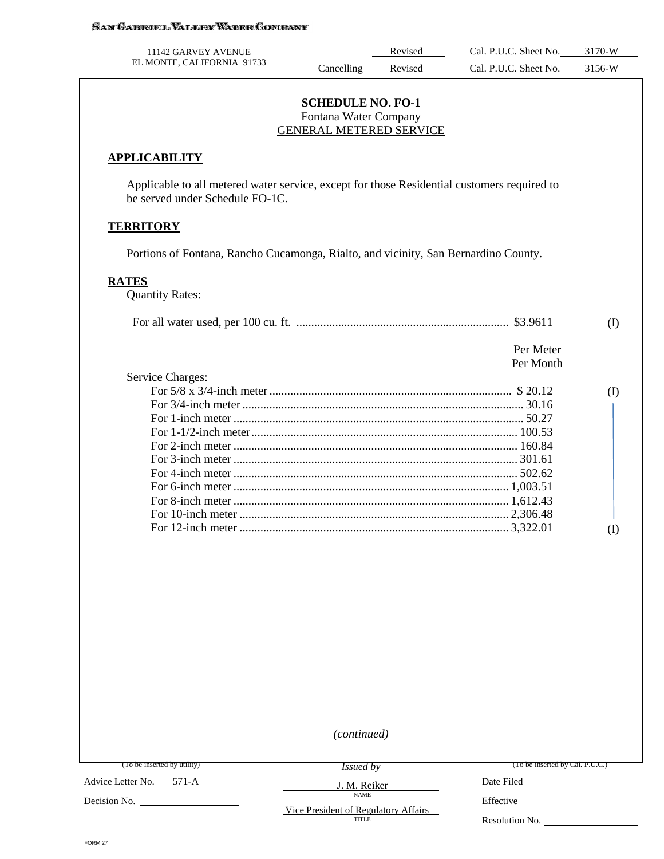| 11142 GARVEY AVENUE        |           | Revised | Cal. P.U.C. Sheet No. | 3170-W |
|----------------------------|-----------|---------|-----------------------|--------|
| EL MONTE, CALIFORNIA 91733 | ancelling | Revised | Cal. P.U.C. Sheet No. | 3156-W |

#### **SCHEDULE NO. FO-1** Fontana Water Company GENERAL METERED SERVICE

#### **APPLICABILITY**

Applicable to all metered water service, except for those Residential customers required to be served under Schedule FO-1C.

#### **TERRITORY**

Portions of Fontana, Rancho Cucamonga, Rialto, and vicinity, San Bernardino County.

### **RATES**

Quantity Rates:

| Per Meter |  |
|-----------|--|

# Per Month

| Service Charges: |  |
|------------------|--|
|                  |  |
|                  |  |
|                  |  |
|                  |  |
|                  |  |
|                  |  |
|                  |  |
|                  |  |
|                  |  |
|                  |  |
|                  |  |
|                  |  |

*(continued)*

(To be inserted by utility)

*Issued by*

J. M. Reiker NAME

(To be inserted by Cal. P.U.C.)

Advice Letter No. 571-A

Decision No.

Vice President of Regulatory Affairs TITLE

Effective

Date Filed

Resolution No.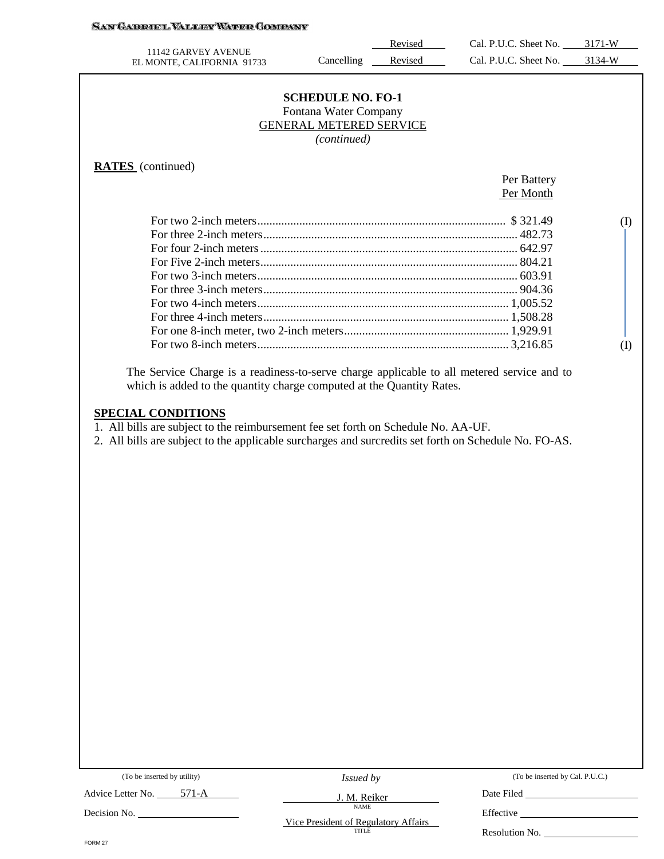# SAN GARRIEL VALLEY WARER COMPANY

|                                                                                                                                                                     |                                                                                                    | Revised | Cal. P.U.C. Sheet No. 3171-W |          |
|---------------------------------------------------------------------------------------------------------------------------------------------------------------------|----------------------------------------------------------------------------------------------------|---------|------------------------------|----------|
| 11142 GARVEY AVENUE<br>EL MONTE, CALIFORNIA 91733                                                                                                                   | Cancelling                                                                                         | Revised | Cal. P.U.C. Sheet No. 3134-W |          |
|                                                                                                                                                                     | <b>SCHEDULE NO. FO-1</b><br>Fontana Water Company<br><b>GENERAL METERED SERVICE</b><br>(continued) |         |                              |          |
| <b>RATES</b> (continued)                                                                                                                                            |                                                                                                    |         |                              |          |
|                                                                                                                                                                     |                                                                                                    |         | Per Battery                  |          |
|                                                                                                                                                                     |                                                                                                    |         | Per Month                    |          |
|                                                                                                                                                                     |                                                                                                    |         |                              | $\rm(I)$ |
|                                                                                                                                                                     |                                                                                                    |         |                              |          |
|                                                                                                                                                                     |                                                                                                    |         |                              |          |
|                                                                                                                                                                     |                                                                                                    |         |                              |          |
|                                                                                                                                                                     |                                                                                                    |         |                              |          |
|                                                                                                                                                                     |                                                                                                    |         |                              |          |
|                                                                                                                                                                     |                                                                                                    |         |                              |          |
|                                                                                                                                                                     |                                                                                                    |         |                              |          |
|                                                                                                                                                                     |                                                                                                    |         |                              |          |
|                                                                                                                                                                     |                                                                                                    |         |                              | (1)      |
| The Service Charge is a readiness-to-serve charge applicable to all metered service and to<br>which is added to the quantity charge computed at the Quantity Rates. |                                                                                                    |         |                              |          |
| <b>SPECIAL CONDITIONS</b><br>1. All bills are subject to the reimbursement fee set forth on Schedule No. AA-UF.                                                     |                                                                                                    |         |                              |          |
| 2. All bills are subject to the applicable surcharges and surcredits set forth on Schedule No. FO-AS.                                                               |                                                                                                    |         |                              |          |
|                                                                                                                                                                     |                                                                                                    |         |                              |          |
|                                                                                                                                                                     |                                                                                                    |         |                              |          |
|                                                                                                                                                                     |                                                                                                    |         |                              |          |
|                                                                                                                                                                     |                                                                                                    |         |                              |          |
|                                                                                                                                                                     |                                                                                                    |         |                              |          |
|                                                                                                                                                                     |                                                                                                    |         |                              |          |

|  | (To be inserted by utility) |  |  |
|--|-----------------------------|--|--|
|--|-----------------------------|--|--|

Advice Letter No. 571-A

Decision No.

*Issued by*

J. M. Reiker NAME

(To be inserted by Cal. P.U.C.)

Date Filed

Vice President of Regulatory Affairs

Resolution No.

Effective

FORM 27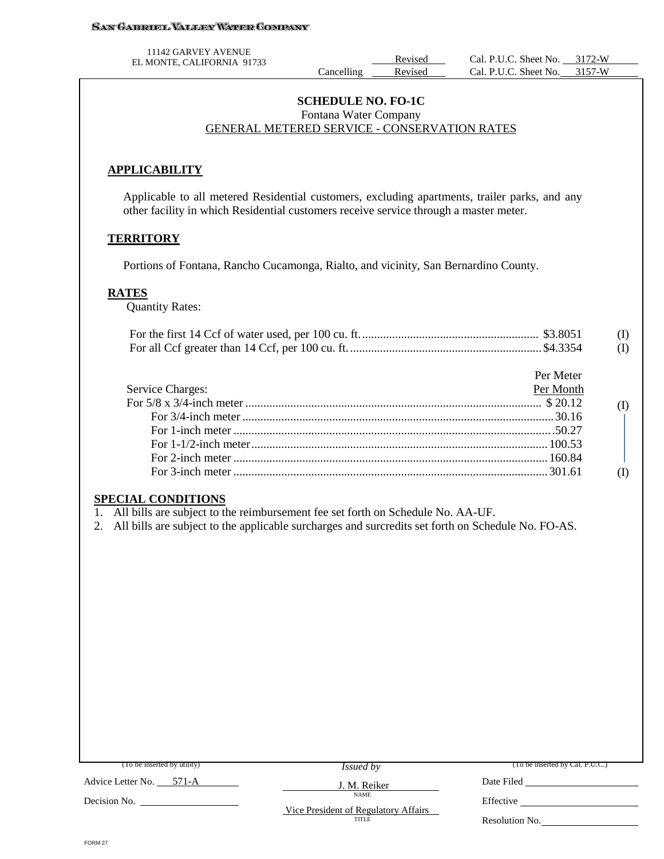#### **SAN GABRIEL VALLEY WATER COMPANY**

11142 GARVEY AVENUE

EL MONTE, CALIFORNIA 91733<br>Cancelling Revised Cal. P.U.C. Sheet No. 3172-W<br>Cancelling Revised Cal. P.U.C. Sheet No. 3157-W Cal. P.U.C. Sheet No.

#### **SCHEDULE NO. FO-1C** Fontana Water Company GENERAL METERED SERVICE - CONSERVATION RATES

### **APPLICABILITY**

Applicable to all metered Residential customers, excluding apartments, trailer parks, and any other facility in which Residential customers receive service through a master meter.

#### **TERRITORY**

Portions of Fontana, Rancho Cucamonga, Rialto, and vicinity, San Bernardino County.

#### **RATES**

Quantity Rates:

|  | (I) |
|--|-----|
|  | (I) |

#### **SPECIAL CONDITIONS**

1. All bills are subject to the reimbursement fee set forth on Schedule No. AA-UF.

2. All bills are subject to the applicable surcharges and surcredits set forth on Schedule No. FO-AS.

| (To be inserted by utility) | <i>Issued by</i>                                    | (To be inserted by Cal. P.U.C.) |
|-----------------------------|-----------------------------------------------------|---------------------------------|
| Advice Letter No. 571-A     | J. M. Reiker                                        | Date Filed                      |
| Decision No.                | <b>NAME</b><br>Vice President of Regulatory Affairs | Effective                       |
|                             | <b>TITLE</b>                                        | Resolution No.                  |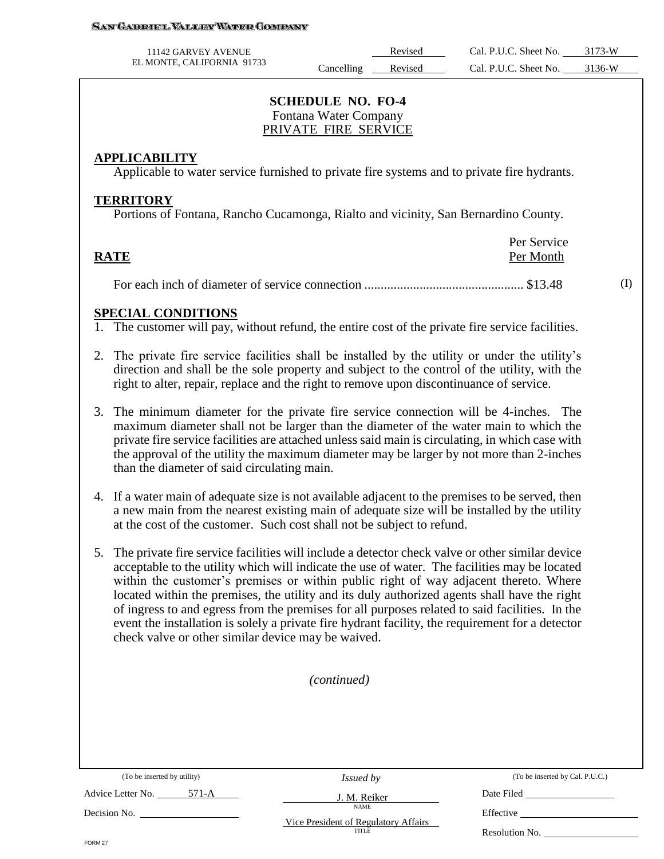#### San Gabriel Valley Water Company

| 11142 GARVEY AVENUE        |            | Revised | Cal. P.U.C. Sheet No. | 3173-W |
|----------------------------|------------|---------|-----------------------|--------|
| EL MONTE, CALIFORNIA 91733 | Cancelling | Revised | Cal. P.U.C. Sheet No. | 3136-W |

# **SCHEDULE NO. FO-4** Fontana Water Company PRIVATE FIRE SERVICE

# **APPLICABILITY**

Applicable to water service furnished to private fire systems and to private fire hydrants.

### **TERRITORY**

Portions of Fontana, Rancho Cucamonga, Rialto and vicinity, San Bernardino County.

|             | Per Service |
|-------------|-------------|
| <b>RATE</b> | Per Month   |
|             |             |

For each inch of diameter of service connection ................................................. \$13.48

# **SPECIAL CONDITIONS**

1. The customer will pay, without refund, the entire cost of the private fire service facilities.

- 2. The private fire service facilities shall be installed by the utility or under the utility's direction and shall be the sole property and subject to the control of the utility, with the right to alter, repair, replace and the right to remove upon discontinuance of service.
- 3. The minimum diameter for the private fire service connection will be 4-inches. The maximum diameter shall not be larger than the diameter of the water main to which the private fire service facilities are attached unless said main is circulating, in which case with the approval of the utility the maximum diameter may be larger by not more than 2-inches than the diameter of said circulating main.
- 4. If a water main of adequate size is not available adjacent to the premises to be served, then a new main from the nearest existing main of adequate size will be installed by the utility at the cost of the customer. Such cost shall not be subject to refund.
- 5. The private fire service facilities will include a detector check valve or other similar device acceptable to the utility which will indicate the use of water. The facilities may be located within the customer's premises or within public right of way adjacent thereto. Where located within the premises, the utility and its duly authorized agents shall have the right of ingress to and egress from the premises for all purposes related to said facilities. In the event the installation is solely a private fire hydrant facility, the requirement for a detector check valve or other similar device may be waived.

#### *(continued)*

(To be inserted by utility)

Advice Letter No. 571-A

*Issued by* J. M. Reiker

NAME

(To be inserted by Cal. P.U.C.)

(I)

Vice President of Regulatory Affairs TITLE

Effective Resolution No.

Date Filed

FORM 27

Decision No.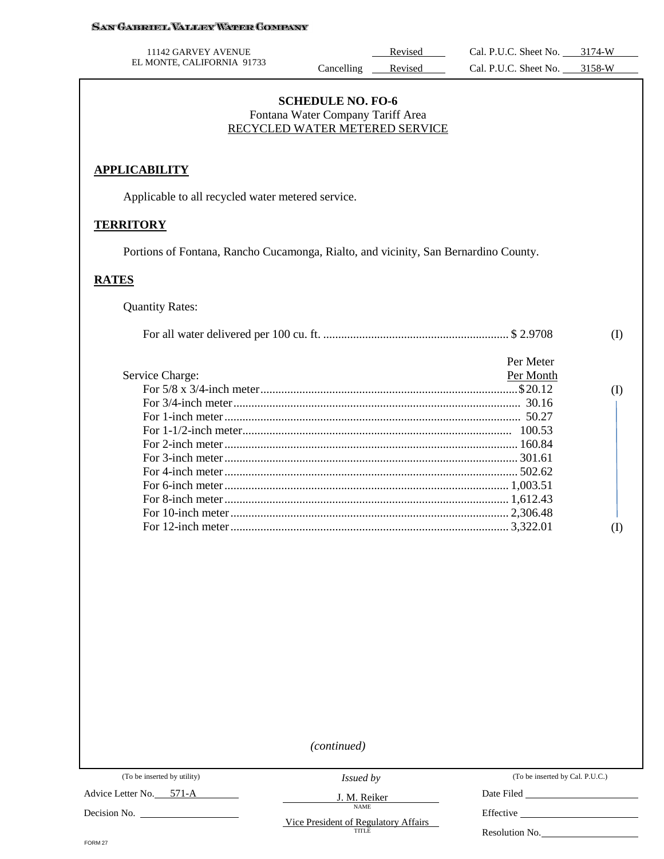| <b>SAN GABROEL VALLEY WATER COMPANY</b>                                             |                                                                                                 |         |                              |              |
|-------------------------------------------------------------------------------------|-------------------------------------------------------------------------------------------------|---------|------------------------------|--------------|
| 11142 GARVEY AVENUE                                                                 |                                                                                                 | Revised | Cal. P.U.C. Sheet No. 3174-W |              |
| EL MONTE, CALIFORNIA 91733                                                          | Cancelling                                                                                      | Revised | Cal. P.U.C. Sheet No. 3158-W |              |
|                                                                                     | <b>SCHEDULE NO. FO-6</b><br>Fontana Water Company Tariff Area<br>RECYCLED WATER METERED SERVICE |         |                              |              |
| <b>APPLICABILITY</b>                                                                |                                                                                                 |         |                              |              |
| Applicable to all recycled water metered service.                                   |                                                                                                 |         |                              |              |
| <b>TERRITORY</b>                                                                    |                                                                                                 |         |                              |              |
| Portions of Fontana, Rancho Cucamonga, Rialto, and vicinity, San Bernardino County. |                                                                                                 |         |                              |              |
| <b>RATES</b>                                                                        |                                                                                                 |         |                              |              |
| <b>Quantity Rates:</b>                                                              |                                                                                                 |         |                              |              |
|                                                                                     |                                                                                                 |         |                              | $\rm(D)$     |
|                                                                                     |                                                                                                 |         | Per Meter                    |              |
| Service Charge:                                                                     |                                                                                                 |         | Per Month                    |              |
|                                                                                     |                                                                                                 |         |                              | (I)          |
|                                                                                     |                                                                                                 |         |                              |              |
|                                                                                     |                                                                                                 |         |                              |              |
|                                                                                     |                                                                                                 |         |                              |              |
|                                                                                     |                                                                                                 |         |                              |              |
|                                                                                     |                                                                                                 |         |                              |              |
|                                                                                     |                                                                                                 |         |                              |              |
|                                                                                     |                                                                                                 |         |                              |              |
|                                                                                     |                                                                                                 |         |                              |              |
|                                                                                     |                                                                                                 |         |                              |              |
|                                                                                     |                                                                                                 |         |                              | $($ $\Gamma$ |
|                                                                                     |                                                                                                 |         |                              |              |

*(continued)*

Advice Letter No. 571-A

Decision No. \_

*Issued by*

J. M. Reiker NAME

(To be inserted by Cal. P.U.C.)

Date Filed \_\_

Effective

Vice President of Regulatory Affairs

FORM 27

Resolution No.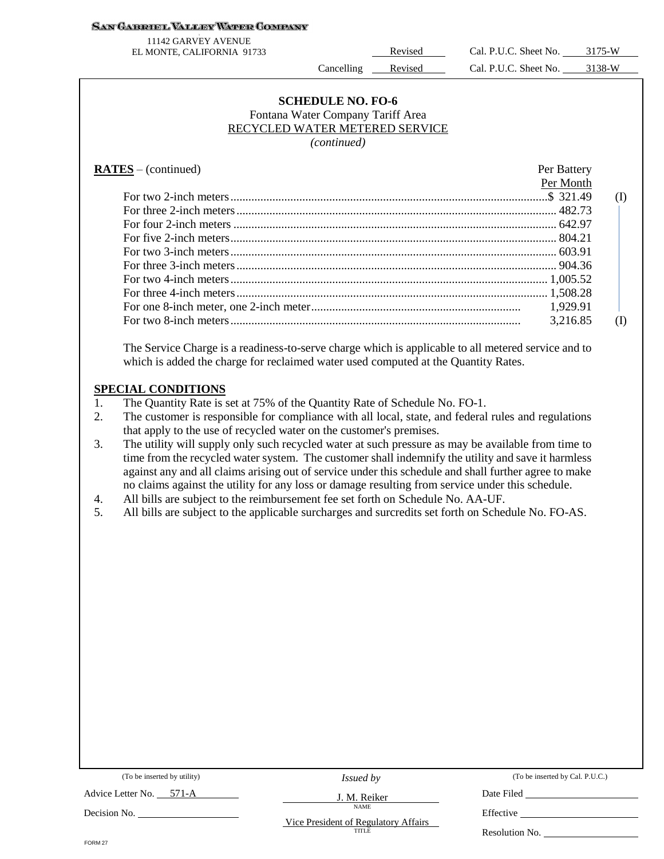#### <u>San Gabriel Valley Water Company</u>

3 11142 GARVEY AVENUE

EL MONTE, CALIFORNIA 91733 Revised Cal. P.U.C. Sheet No. 3175-W Cancelling Revised Cal. P.U.C. Sheet No. 3138-W

#### **SCHEDULE NO. FO-6** Fontana Water Company Tariff Area RECYCLED WATER METERED SERVICE *(continued)*

# **RATES** – (continued) Per Battery

| Per Month |     |
|-----------|-----|
|           | (I) |
|           |     |
|           |     |
|           |     |
|           |     |
|           |     |
|           |     |
|           |     |
|           |     |
| 3,216.85  |     |
|           |     |

The Service Charge is a readiness-to-serve charge which is applicable to all metered service and to which is added the charge for reclaimed water used computed at the Quantity Rates.

## **SPECIAL CONDITIONS**

- 1. The Quantity Rate is set at 75% of the Quantity Rate of Schedule No. FO-1.
- 2. The customer is responsible for compliance with all local, state, and federal rules and regulations that apply to the use of recycled water on the customer's premises.
- 3. The utility will supply only such recycled water at such pressure as may be available from time to time from the recycled water system. The customer shall indemnify the utility and save it harmless against any and all claims arising out of service under this schedule and shall further agree to make no claims against the utility for any loss or damage resulting from service under this schedule.
- 4. All bills are subject to the reimbursement fee set forth on Schedule No. AA-UF.
- 5. All bills are subject to the applicable surcharges and surcredits set forth on Schedule No. FO-AS.

| (To be inserted by utility)             | <i>Issued by</i>                              | (To be inserted by Cal. P.U.C.) |
|-----------------------------------------|-----------------------------------------------|---------------------------------|
| Advice Letter No. 571-A<br>Decision No. | J. M. Reiker<br><b>NAME</b>                   | Date Filed                      |
| FORM 27                                 | Vice President of Regulatory Affairs<br>TITLE | Effective<br>Resolution No.     |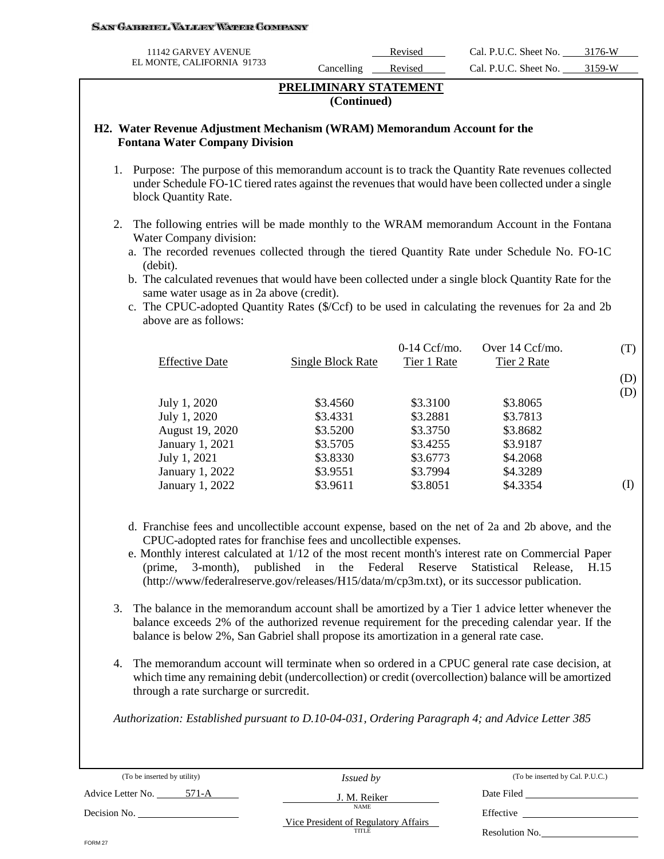#### San Gabroel Valley Waper Company

| 11142 GARVEY AVENUE        |            | Revised | Cal. P.U.C. Sheet No. | 3176-W |
|----------------------------|------------|---------|-----------------------|--------|
| EL MONTE, CALIFORNIA 91733 | Cancelling | Revised | Cal. P.U.C. Sheet No. | 3150.W |

# **PRELIMINARY STATEMENT (Continued)**

#### **H2. Water Revenue Adjustment Mechanism (WRAM) Memorandum Account for the Fontana Water Company Division**

- 1. Purpose: The purpose of this memorandum account is to track the Quantity Rate revenues collected under Schedule FO-1C tiered rates against the revenues that would have been collected under a single block Quantity Rate.
- 2. The following entries will be made monthly to the WRAM memorandum Account in the Fontana Water Company division:
	- a. The recorded revenues collected through the tiered Quantity Rate under Schedule No. FO-1C (debit).
	- b. The calculated revenues that would have been collected under a single block Quantity Rate for the same water usage as in 2a above (credit).
	- c. The CPUC-adopted Quantity Rates (\$/Ccf) to be used in calculating the revenues for 2a and 2b above are as follows:

| Single Block Rate | $0-14 \text{ Ccf/mol}$ .<br>Tier 1 Rate | Over 14 Ccf/mo.<br>Tier 2 Rate | (T)      |
|-------------------|-----------------------------------------|--------------------------------|----------|
|                   |                                         |                                | (D)      |
|                   |                                         |                                | (D)      |
| \$3.4560          | \$3.3100                                |                                |          |
| \$3.4331          | \$3.2881                                | \$3.7813                       |          |
| \$3.5200          | \$3.3750                                | \$3.8682                       |          |
| \$3.5705          | \$3.4255                                | \$3.9187                       |          |
| \$3.8330          | \$3.6773                                | \$4.2068                       |          |
| \$3.9551          | \$3.7994                                | \$4.3289                       |          |
| \$3.9611          | \$3.8051                                | \$4.3354                       | (I)      |
|                   |                                         |                                | \$3.8065 |

- d. Franchise fees and uncollectible account expense, based on the net of 2a and 2b above, and the CPUC-adopted rates for franchise fees and uncollectible expenses.
- e. Monthly interest calculated at 1/12 of the most recent month's interest rate on Commercial Paper (prime, 3-month), published in the Federal Reserve Statistical Release, H.15 (http://www/federalreserve.gov/releases/H15/data/m/cp3m.txt), or its successor publication.
- 3. The balance in the memorandum account shall be amortized by a Tier 1 advice letter whenever the balance exceeds 2% of the authorized revenue requirement for the preceding calendar year. If the balance is below 2%, San Gabriel shall propose its amortization in a general rate case.
- 4. The memorandum account will terminate when so ordered in a CPUC general rate case decision, at which time any remaining debit (undercollection) or credit (overcollection) balance will be amortized through a rate surcharge or surcredit.

*Authorization: Established pursuant to D.10-04-031, Ordering Paragraph 4; and Advice Letter 385* 

| (To be inserted by utility) | <i>Issued by</i>                              | (To be inserted by Cal. P.U.C.) |
|-----------------------------|-----------------------------------------------|---------------------------------|
| 571-A<br>Advice Letter No.  | J. M. Reiker                                  | Date Filed                      |
| Decision No.                | <b>NAME</b>                                   | Effective                       |
|                             | Vice President of Regulatory Affairs<br>TITLE | Resolution No.                  |
| FORM 27                     |                                               |                                 |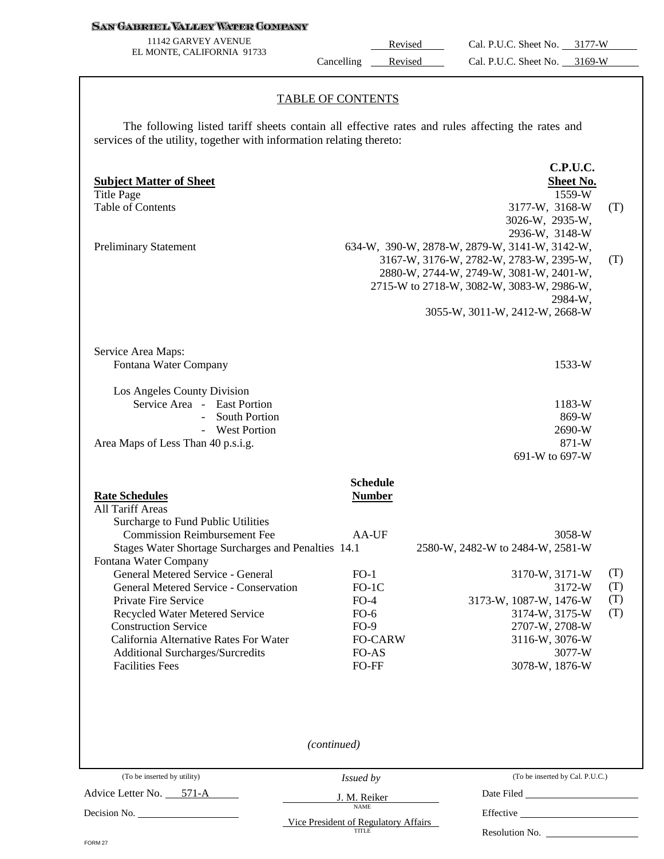#### **SAN GABRIEL VALLEY WATER COMPANY**

11142 GARVEY AVENUE EL MONTE, CALIFORNIA 91733

Revised Cal. P.U.C. Sheet No. 3177-W Cancelling Revised Cal. P.U.C. Sheet No. 3169-W

#### TABLE OF CONTENTS

The following listed tariff sheets contain all effective rates and rules affecting the rates and services of the utility, together with information relating thereto:

| <b>Subject Matter of Sheet</b><br><b>Title Page</b><br><b>Table of Contents</b><br><b>Preliminary Statement</b>                                                                                                                                                                                                                                                                                                                                                                               |                                                                                                                                                 | C.P.U.C.<br>Sheet No.<br>1559-W<br>3177-W, 3168-W<br>(T)<br>3026-W, 2935-W,<br>2936-W, 3148-W<br>634-W, 390-W, 2878-W, 2879-W, 3141-W, 3142-W,<br>3167-W, 3176-W, 2782-W, 2783-W, 2395-W,<br>(T)<br>2880-W, 2744-W, 2749-W, 3081-W, 2401-W,<br>2715-W to 2718-W, 3082-W, 3083-W, 2986-W,<br>2984-W,<br>3055-W, 3011-W, 2412-W, 2668-W |  |
|-----------------------------------------------------------------------------------------------------------------------------------------------------------------------------------------------------------------------------------------------------------------------------------------------------------------------------------------------------------------------------------------------------------------------------------------------------------------------------------------------|-------------------------------------------------------------------------------------------------------------------------------------------------|---------------------------------------------------------------------------------------------------------------------------------------------------------------------------------------------------------------------------------------------------------------------------------------------------------------------------------------|--|
| Service Area Maps:<br>Fontana Water Company<br>Los Angeles County Division<br>Service Area - East Portion<br><b>South Portion</b><br>$\overline{a}$<br>- West Portion<br>Area Maps of Less Than 40 p.s.i.g.                                                                                                                                                                                                                                                                                   |                                                                                                                                                 | 1533-W<br>1183-W<br>869-W<br>2690-W<br>871-W<br>691-W to 697-W                                                                                                                                                                                                                                                                        |  |
| <b>Rate Schedules</b><br>All Tariff Areas<br>Surcharge to Fund Public Utilities<br><b>Commission Reimbursement Fee</b><br>Stages Water Shortage Surcharges and Penalties 14.1<br>Fontana Water Company<br>General Metered Service - General<br>General Metered Service - Conservation<br>Private Fire Service<br>Recycled Water Metered Service<br><b>Construction Service</b><br>California Alternative Rates For Water<br><b>Additional Surcharges/Surcredits</b><br><b>Facilities Fees</b> | <b>Schedule</b><br><b>Number</b><br>AA-UF<br>$FO-1$<br>$FO-1C$<br>$FO-4$<br>$FO-6$<br>$FO-9$<br><b>FO-CARW</b><br>FO-AS<br>FO-FF<br>(continued) | 3058-W<br>2580-W, 2482-W to 2484-W, 2581-W<br>(T)<br>3170-W, 3171-W<br>3172-W<br>(T)<br>(T)<br>3173-W, 1087-W, 1476-W<br>(T)<br>3174-W, 3175-W<br>2707-W, 2708-W<br>3116-W, 3076-W<br>3077-W<br>3078-W, 1876-W                                                                                                                        |  |
| (To be inserted by utility)                                                                                                                                                                                                                                                                                                                                                                                                                                                                   | Issued by                                                                                                                                       | (To be inserted by Cal. P.U.C.)                                                                                                                                                                                                                                                                                                       |  |
| Advice Letter No. 571-A                                                                                                                                                                                                                                                                                                                                                                                                                                                                       | J. M. Reiker<br><b>NAME</b><br>Vice President of Regulatory Affairs<br>TITLE                                                                    | Date Filed<br>Resolution No.                                                                                                                                                                                                                                                                                                          |  |